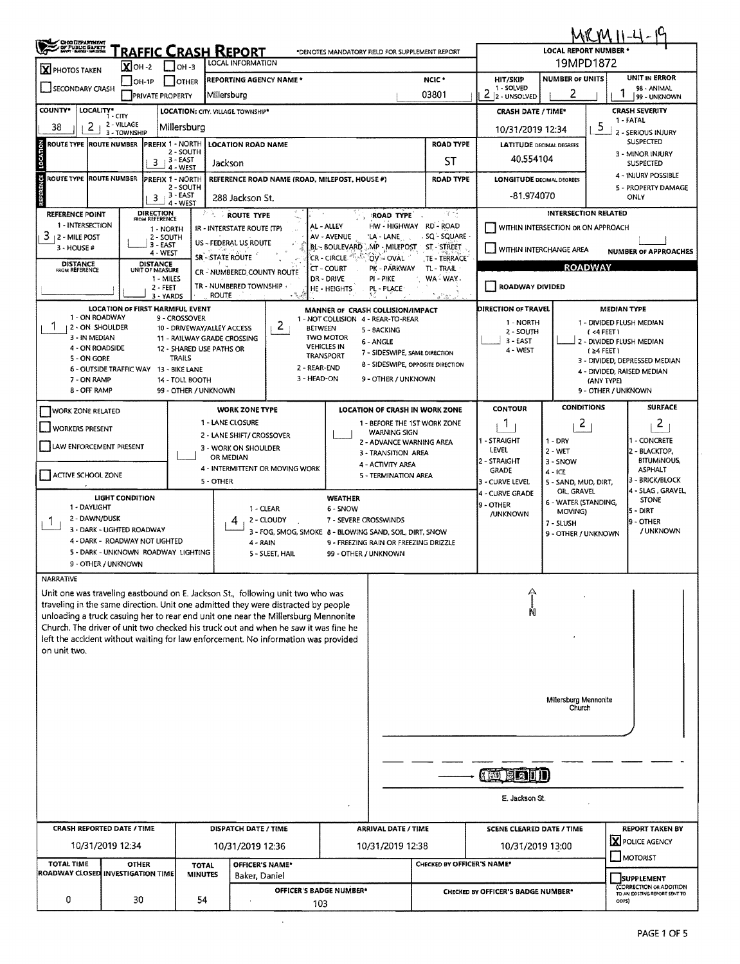| <b>OHO DEPARTMENT</b><br>COT PUBLIC BAFRIT<br><b>FRAFFIC CRASH REPORT</b><br><b>LOCAL REPORT NUMBER *</b><br>*DENOTES MANDATORY FIELD FOR SUPPLEMENT REPORT<br>19MPD1872<br><b>LOCAL INFORMATION</b><br>$X$ OH -2<br>$1$ low-3<br>X PHOTOS TAKEN<br><b>NUMBER OF UNITS</b><br><b>REPORTING AGENCY NAME*</b><br>NCIC <sup>+</sup><br><b>HIT/SKIP</b><br>I OTHER<br>$IOH-1P$<br>1 - SOLVED<br>SECONDARY CRASH<br>2<br>1<br>2<br>03801<br>Millersburg<br><b>PRIVATE PROPERTY</b><br>2 - UNSOLVED<br>COUNTY*<br>LOCALITY*<br>LOCATION: CITY. VILLAGE TOWNSHIP*<br><b>CRASH SEVERITY</b><br><b>CRASH DATE / TIME*</b><br>$1 - CITY$<br>1 - FATAL<br>2 - VILLAGE<br>5<br>38<br>2<br>Millersburg<br>10/31/2019 12:34<br>3 - TOWNSHIP<br>LOCATION<br><b>ROAD TYPE</b><br>ROUTE TYPE  ROUTE NUMBER  PREFIX 1 - NORTH<br><b>LOCATION ROAD NAME</b><br><b>LATITUDE DECIMAL DEGREES</b><br>2 - SOUTH<br>3 - MINOR INJURY<br>40.554104<br>$3 + 3 - EAST$<br>ST<br>Jackson<br>4 - WEST<br>Ų<br><b>ROUTE TYPE ROUTE NUMBER</b><br>PREFIX 1 - NORTH<br>REFERENCE ROAD NAME (ROAD, MILEPOST, HOUSE #)<br><b>ROAD TYPE</b><br><b>LONGITUDE DECIMAL DEGREES</b><br>2 - SOUTH<br>$3 - EAST$<br>-81.974070<br>ONLY<br>3<br>288 Jackson St.<br>REF<br>4 - WEST<br><b>DIRECTION</b><br><b>INTERSECTION RELATED</b><br>保税<br><b>REFERENCE POINT</b><br><b>ROUTE TYPE</b><br>ROAD TYPE<br>FROM REFERENCE<br>1 - INTERSECTION<br>HW - HIGHWAY RD - ROAD<br>AL - ALLEY<br>WITHIN INTERSECTION OR ON APPROACH<br>IR - INTERSTATE ROUTE (TP)<br>1 - NORTH<br>$3 + 2 -$ MILE POST<br>- SQ'~ SQUARE<br>AV - AVENUE<br>'LA - LANE<br>2 - SOUTH<br>US - FEDERAL US ROUTE<br>3 - EAST<br>BL - BOULEVARD MP - MILEPOST<br>ST - STREET<br>3 - HOUSE #<br>WITHIN INTERCHANGE AREA<br>4 - WEST | <b>UNIT IN ERROR</b><br>98 - ANIMAL                                           |  |  |  |  |  |
|----------------------------------------------------------------------------------------------------------------------------------------------------------------------------------------------------------------------------------------------------------------------------------------------------------------------------------------------------------------------------------------------------------------------------------------------------------------------------------------------------------------------------------------------------------------------------------------------------------------------------------------------------------------------------------------------------------------------------------------------------------------------------------------------------------------------------------------------------------------------------------------------------------------------------------------------------------------------------------------------------------------------------------------------------------------------------------------------------------------------------------------------------------------------------------------------------------------------------------------------------------------------------------------------------------------------------------------------------------------------------------------------------------------------------------------------------------------------------------------------------------------------------------------------------------------------------------------------------------------------------------------------------------------------------------------------------------------------------------------------------------|-------------------------------------------------------------------------------|--|--|--|--|--|
|                                                                                                                                                                                                                                                                                                                                                                                                                                                                                                                                                                                                                                                                                                                                                                                                                                                                                                                                                                                                                                                                                                                                                                                                                                                                                                                                                                                                                                                                                                                                                                                                                                                                                                                                                          |                                                                               |  |  |  |  |  |
|                                                                                                                                                                                                                                                                                                                                                                                                                                                                                                                                                                                                                                                                                                                                                                                                                                                                                                                                                                                                                                                                                                                                                                                                                                                                                                                                                                                                                                                                                                                                                                                                                                                                                                                                                          |                                                                               |  |  |  |  |  |
|                                                                                                                                                                                                                                                                                                                                                                                                                                                                                                                                                                                                                                                                                                                                                                                                                                                                                                                                                                                                                                                                                                                                                                                                                                                                                                                                                                                                                                                                                                                                                                                                                                                                                                                                                          | 99 - UNKNOWN                                                                  |  |  |  |  |  |
|                                                                                                                                                                                                                                                                                                                                                                                                                                                                                                                                                                                                                                                                                                                                                                                                                                                                                                                                                                                                                                                                                                                                                                                                                                                                                                                                                                                                                                                                                                                                                                                                                                                                                                                                                          |                                                                               |  |  |  |  |  |
|                                                                                                                                                                                                                                                                                                                                                                                                                                                                                                                                                                                                                                                                                                                                                                                                                                                                                                                                                                                                                                                                                                                                                                                                                                                                                                                                                                                                                                                                                                                                                                                                                                                                                                                                                          | 2 - SERIOUS INJURY                                                            |  |  |  |  |  |
|                                                                                                                                                                                                                                                                                                                                                                                                                                                                                                                                                                                                                                                                                                                                                                                                                                                                                                                                                                                                                                                                                                                                                                                                                                                                                                                                                                                                                                                                                                                                                                                                                                                                                                                                                          | <b>SUSPECTED</b>                                                              |  |  |  |  |  |
|                                                                                                                                                                                                                                                                                                                                                                                                                                                                                                                                                                                                                                                                                                                                                                                                                                                                                                                                                                                                                                                                                                                                                                                                                                                                                                                                                                                                                                                                                                                                                                                                                                                                                                                                                          | <b>SUSPECTED</b>                                                              |  |  |  |  |  |
|                                                                                                                                                                                                                                                                                                                                                                                                                                                                                                                                                                                                                                                                                                                                                                                                                                                                                                                                                                                                                                                                                                                                                                                                                                                                                                                                                                                                                                                                                                                                                                                                                                                                                                                                                          | 4 - INJURY POSSIBLE                                                           |  |  |  |  |  |
|                                                                                                                                                                                                                                                                                                                                                                                                                                                                                                                                                                                                                                                                                                                                                                                                                                                                                                                                                                                                                                                                                                                                                                                                                                                                                                                                                                                                                                                                                                                                                                                                                                                                                                                                                          | 5 - PROPERTY DAMAGE                                                           |  |  |  |  |  |
|                                                                                                                                                                                                                                                                                                                                                                                                                                                                                                                                                                                                                                                                                                                                                                                                                                                                                                                                                                                                                                                                                                                                                                                                                                                                                                                                                                                                                                                                                                                                                                                                                                                                                                                                                          |                                                                               |  |  |  |  |  |
|                                                                                                                                                                                                                                                                                                                                                                                                                                                                                                                                                                                                                                                                                                                                                                                                                                                                                                                                                                                                                                                                                                                                                                                                                                                                                                                                                                                                                                                                                                                                                                                                                                                                                                                                                          |                                                                               |  |  |  |  |  |
|                                                                                                                                                                                                                                                                                                                                                                                                                                                                                                                                                                                                                                                                                                                                                                                                                                                                                                                                                                                                                                                                                                                                                                                                                                                                                                                                                                                                                                                                                                                                                                                                                                                                                                                                                          | <b>NUMBER OF APPROACHES</b>                                                   |  |  |  |  |  |
| <b>SR-STATE ROUTE</b><br>CR - CIRCLE.<br>OV - OVAL<br>TE - TERRACE<br>DISTANCE<br>UNIT OF MEASURE<br><b>DISTANCE</b><br>FROM REFERENCE<br>CT - COURT<br>PK - PARKWAY<br>TL - TRAIL                                                                                                                                                                                                                                                                                                                                                                                                                                                                                                                                                                                                                                                                                                                                                                                                                                                                                                                                                                                                                                                                                                                                                                                                                                                                                                                                                                                                                                                                                                                                                                       | <b>ROADWAY</b>                                                                |  |  |  |  |  |
| CR - NUMBERED COUNTY ROUTE<br>WA - WAY.<br>DR - DRIVE<br>1 - MILES<br>PI - PIKE<br>TR - NUMBERED TOWNSHIP<br>ROADWAY DIVIDED                                                                                                                                                                                                                                                                                                                                                                                                                                                                                                                                                                                                                                                                                                                                                                                                                                                                                                                                                                                                                                                                                                                                                                                                                                                                                                                                                                                                                                                                                                                                                                                                                             |                                                                               |  |  |  |  |  |
| $2 - FEET$<br>HE - HEIGHTS<br>PL - PLACE<br><b>ROUTE</b><br>3 - YARDS                                                                                                                                                                                                                                                                                                                                                                                                                                                                                                                                                                                                                                                                                                                                                                                                                                                                                                                                                                                                                                                                                                                                                                                                                                                                                                                                                                                                                                                                                                                                                                                                                                                                                    |                                                                               |  |  |  |  |  |
| <b>LOCATION OF FIRST HARMFUL EVENT</b><br>DIRECTION OF TRAVEL<br>MEDIAN TYPE<br>MANNER OF CRASH COLLISION/IMPACT<br>1 - ON ROADWAY                                                                                                                                                                                                                                                                                                                                                                                                                                                                                                                                                                                                                                                                                                                                                                                                                                                                                                                                                                                                                                                                                                                                                                                                                                                                                                                                                                                                                                                                                                                                                                                                                       |                                                                               |  |  |  |  |  |
| 9 - CROSSOVER<br>1 - NOT COLLISION 4 - REAR-TO-REAR<br>1 - NORTH<br>1 - DIVIDED FLUSH MEDIAN<br>2<br><b>12 - ON SHOULDER</b><br>10 - DRIVEWAY/ALLEY ACCESS<br><b>BETWEEN</b><br>5 - BACKING<br>2 - SOUTH<br>(4FEET)                                                                                                                                                                                                                                                                                                                                                                                                                                                                                                                                                                                                                                                                                                                                                                                                                                                                                                                                                                                                                                                                                                                                                                                                                                                                                                                                                                                                                                                                                                                                      |                                                                               |  |  |  |  |  |
| <b>TWO MOTOR</b><br>3 - IN MEDIAN<br>11 - RAILWAY GRADE CROSSING<br>$3 - EAST$<br>2 - DIVIDED FLUSH MEDIAN<br>6 - ANGLE<br><b>VEHICLES IN</b><br>4 - ON ROADSIDE<br>12 - SHARED USE PATHS OR                                                                                                                                                                                                                                                                                                                                                                                                                                                                                                                                                                                                                                                                                                                                                                                                                                                                                                                                                                                                                                                                                                                                                                                                                                                                                                                                                                                                                                                                                                                                                             |                                                                               |  |  |  |  |  |
| 4 - WEST<br>$(24$ FEET)<br>7 - SIDESWIPE, SAME DIRECTION<br><b>TRANSPORT</b><br>TRAILS<br>5 - ON GORE<br>3 - DIVIDED, DEPRESSED MEDIAN<br>8 - SIDESWIPE, OPPOSITE DIRECTION                                                                                                                                                                                                                                                                                                                                                                                                                                                                                                                                                                                                                                                                                                                                                                                                                                                                                                                                                                                                                                                                                                                                                                                                                                                                                                                                                                                                                                                                                                                                                                              |                                                                               |  |  |  |  |  |
| 2 - REAR-END<br>6 - OUTSIDE TRAFFIC WAY 13 - BIKE LANE<br>4 - DIVIDED, RAISED MEDIAN<br>3 - HEAD-ON<br>9 - OTHER / UNKNOWN<br>7 - ON RAMP<br>14 - TOLL BOOTH<br>(ANY TYPE)                                                                                                                                                                                                                                                                                                                                                                                                                                                                                                                                                                                                                                                                                                                                                                                                                                                                                                                                                                                                                                                                                                                                                                                                                                                                                                                                                                                                                                                                                                                                                                               |                                                                               |  |  |  |  |  |
| <b>8 - OFF RAMP</b><br>9 - OTHER / UNKNOWN<br>99 - OTHER / UNKNOWN                                                                                                                                                                                                                                                                                                                                                                                                                                                                                                                                                                                                                                                                                                                                                                                                                                                                                                                                                                                                                                                                                                                                                                                                                                                                                                                                                                                                                                                                                                                                                                                                                                                                                       |                                                                               |  |  |  |  |  |
| <b>CONDITIONS</b><br><b>CONTOUR</b><br><b>WORK ZONE TYPE</b><br>LOCATION OF CRASH IN WORK ZONE<br><b>WORK ZONE RELATED</b>                                                                                                                                                                                                                                                                                                                                                                                                                                                                                                                                                                                                                                                                                                                                                                                                                                                                                                                                                                                                                                                                                                                                                                                                                                                                                                                                                                                                                                                                                                                                                                                                                               | <b>SURFACE</b>                                                                |  |  |  |  |  |
| 1 - LANE CLOSURE<br>1 - BEFORE THE 1ST WORK ZONE<br>2<br>1<br><b>WORKERS PRESENT</b>                                                                                                                                                                                                                                                                                                                                                                                                                                                                                                                                                                                                                                                                                                                                                                                                                                                                                                                                                                                                                                                                                                                                                                                                                                                                                                                                                                                                                                                                                                                                                                                                                                                                     | $\mathbf{Z}$                                                                  |  |  |  |  |  |
| <b>WARNING SIGN</b><br>2 - LANE SHIFT/ CROSSOVER<br>1 - STRAIGHT<br>$1 - DRY$<br>2 - ADVANCE WARNING AREA<br>LAW ENFORCEMENT PRESENT                                                                                                                                                                                                                                                                                                                                                                                                                                                                                                                                                                                                                                                                                                                                                                                                                                                                                                                                                                                                                                                                                                                                                                                                                                                                                                                                                                                                                                                                                                                                                                                                                     | 1 - CONCRETE                                                                  |  |  |  |  |  |
| 3 - WORK ON SHOULDER<br>LEVEL<br>$2 - WET$<br>3 - TRANSITION AREA<br>OR MEDIAN<br>2 - STRAIGHT<br>3 - SNOW                                                                                                                                                                                                                                                                                                                                                                                                                                                                                                                                                                                                                                                                                                                                                                                                                                                                                                                                                                                                                                                                                                                                                                                                                                                                                                                                                                                                                                                                                                                                                                                                                                               | 2 - BLACKTOP,<br><b>BITUMINOUS,</b>                                           |  |  |  |  |  |
| 4 - ACTIVITY AREA<br>4 - INTERMITTENT OR MOVING WORK<br>GRADE<br>$4 - ICE$<br>ACTIVE SCHOOL ZONE<br>5 - TERMINATION AREA                                                                                                                                                                                                                                                                                                                                                                                                                                                                                                                                                                                                                                                                                                                                                                                                                                                                                                                                                                                                                                                                                                                                                                                                                                                                                                                                                                                                                                                                                                                                                                                                                                 | <b>ASPHALT</b>                                                                |  |  |  |  |  |
| 5 - OTHER<br>3 - CURVE LEVEL<br>5 - SAND, MUD, DIRT,<br>OIL, GRAVEL<br>4 - CURVE GRADE                                                                                                                                                                                                                                                                                                                                                                                                                                                                                                                                                                                                                                                                                                                                                                                                                                                                                                                                                                                                                                                                                                                                                                                                                                                                                                                                                                                                                                                                                                                                                                                                                                                                   | 3 - BRICK/BLOCK<br>4 - SLAG, GRAVEL,                                          |  |  |  |  |  |
| LIGHT CONDITION<br><b>WEATHER</b><br>6 - WATER (STANDING,<br>19 - OTHER<br>1 - DAYLIGHT<br>1 - CLEAR<br>6 - SNOW                                                                                                                                                                                                                                                                                                                                                                                                                                                                                                                                                                                                                                                                                                                                                                                                                                                                                                                                                                                                                                                                                                                                                                                                                                                                                                                                                                                                                                                                                                                                                                                                                                         | <b>STONE</b>                                                                  |  |  |  |  |  |
| 5 - DIRT<br>MOVING)<br>/UNKNOWN<br>2 - DAWN/DUSK<br>2 - CLOUDY<br>7 - SEVERE CROSSWINDS<br>4<br>1<br>7 - SLUSH                                                                                                                                                                                                                                                                                                                                                                                                                                                                                                                                                                                                                                                                                                                                                                                                                                                                                                                                                                                                                                                                                                                                                                                                                                                                                                                                                                                                                                                                                                                                                                                                                                           | <b>9 - OTHER</b>                                                              |  |  |  |  |  |
| 3 - DARK - LIGHTED ROADWAY<br>3 - FOG, SMOG, SMOKE 8 - BLOWING SAND, SOIL, DIRT, SNOW<br>9 - OTHER / UNKNOWN<br>4 - DARK - ROADWAY NOT LIGHTED                                                                                                                                                                                                                                                                                                                                                                                                                                                                                                                                                                                                                                                                                                                                                                                                                                                                                                                                                                                                                                                                                                                                                                                                                                                                                                                                                                                                                                                                                                                                                                                                           | / UNKNOWN                                                                     |  |  |  |  |  |
| 4 - RAIN<br>9 - FREEZING RAIN OR FREEZING DRIZZLE<br>5 - DARK - UNKNOWN ROADWAY LIGHTING<br>5 - SLEET, HAIL<br>99 - OTHER / UNKNOWN                                                                                                                                                                                                                                                                                                                                                                                                                                                                                                                                                                                                                                                                                                                                                                                                                                                                                                                                                                                                                                                                                                                                                                                                                                                                                                                                                                                                                                                                                                                                                                                                                      |                                                                               |  |  |  |  |  |
| 9 - OTHER / UNKNOWN                                                                                                                                                                                                                                                                                                                                                                                                                                                                                                                                                                                                                                                                                                                                                                                                                                                                                                                                                                                                                                                                                                                                                                                                                                                                                                                                                                                                                                                                                                                                                                                                                                                                                                                                      |                                                                               |  |  |  |  |  |
| <b>NARRATIVE</b>                                                                                                                                                                                                                                                                                                                                                                                                                                                                                                                                                                                                                                                                                                                                                                                                                                                                                                                                                                                                                                                                                                                                                                                                                                                                                                                                                                                                                                                                                                                                                                                                                                                                                                                                         |                                                                               |  |  |  |  |  |
| Unit one was traveling eastbound on E. Jackson St., following unit two who was<br>traveling in the same direction. Unit one admitted they were distracted by people                                                                                                                                                                                                                                                                                                                                                                                                                                                                                                                                                                                                                                                                                                                                                                                                                                                                                                                                                                                                                                                                                                                                                                                                                                                                                                                                                                                                                                                                                                                                                                                      |                                                                               |  |  |  |  |  |
| unloading a truck casuing her to rear end unit one near the Millersburg Mennonite                                                                                                                                                                                                                                                                                                                                                                                                                                                                                                                                                                                                                                                                                                                                                                                                                                                                                                                                                                                                                                                                                                                                                                                                                                                                                                                                                                                                                                                                                                                                                                                                                                                                        |                                                                               |  |  |  |  |  |
| Church. The driver of unit two checked his truck out and when he saw it was fine he                                                                                                                                                                                                                                                                                                                                                                                                                                                                                                                                                                                                                                                                                                                                                                                                                                                                                                                                                                                                                                                                                                                                                                                                                                                                                                                                                                                                                                                                                                                                                                                                                                                                      |                                                                               |  |  |  |  |  |
| left the accident without waiting for law enforcement. No information was provided<br>on unit two.                                                                                                                                                                                                                                                                                                                                                                                                                                                                                                                                                                                                                                                                                                                                                                                                                                                                                                                                                                                                                                                                                                                                                                                                                                                                                                                                                                                                                                                                                                                                                                                                                                                       |                                                                               |  |  |  |  |  |
|                                                                                                                                                                                                                                                                                                                                                                                                                                                                                                                                                                                                                                                                                                                                                                                                                                                                                                                                                                                                                                                                                                                                                                                                                                                                                                                                                                                                                                                                                                                                                                                                                                                                                                                                                          |                                                                               |  |  |  |  |  |
|                                                                                                                                                                                                                                                                                                                                                                                                                                                                                                                                                                                                                                                                                                                                                                                                                                                                                                                                                                                                                                                                                                                                                                                                                                                                                                                                                                                                                                                                                                                                                                                                                                                                                                                                                          |                                                                               |  |  |  |  |  |
| Millersburg Mennonite                                                                                                                                                                                                                                                                                                                                                                                                                                                                                                                                                                                                                                                                                                                                                                                                                                                                                                                                                                                                                                                                                                                                                                                                                                                                                                                                                                                                                                                                                                                                                                                                                                                                                                                                    |                                                                               |  |  |  |  |  |
| Church                                                                                                                                                                                                                                                                                                                                                                                                                                                                                                                                                                                                                                                                                                                                                                                                                                                                                                                                                                                                                                                                                                                                                                                                                                                                                                                                                                                                                                                                                                                                                                                                                                                                                                                                                   |                                                                               |  |  |  |  |  |
|                                                                                                                                                                                                                                                                                                                                                                                                                                                                                                                                                                                                                                                                                                                                                                                                                                                                                                                                                                                                                                                                                                                                                                                                                                                                                                                                                                                                                                                                                                                                                                                                                                                                                                                                                          |                                                                               |  |  |  |  |  |
|                                                                                                                                                                                                                                                                                                                                                                                                                                                                                                                                                                                                                                                                                                                                                                                                                                                                                                                                                                                                                                                                                                                                                                                                                                                                                                                                                                                                                                                                                                                                                                                                                                                                                                                                                          |                                                                               |  |  |  |  |  |
|                                                                                                                                                                                                                                                                                                                                                                                                                                                                                                                                                                                                                                                                                                                                                                                                                                                                                                                                                                                                                                                                                                                                                                                                                                                                                                                                                                                                                                                                                                                                                                                                                                                                                                                                                          |                                                                               |  |  |  |  |  |
| <b>FEEDING</b>                                                                                                                                                                                                                                                                                                                                                                                                                                                                                                                                                                                                                                                                                                                                                                                                                                                                                                                                                                                                                                                                                                                                                                                                                                                                                                                                                                                                                                                                                                                                                                                                                                                                                                                                           |                                                                               |  |  |  |  |  |
|                                                                                                                                                                                                                                                                                                                                                                                                                                                                                                                                                                                                                                                                                                                                                                                                                                                                                                                                                                                                                                                                                                                                                                                                                                                                                                                                                                                                                                                                                                                                                                                                                                                                                                                                                          |                                                                               |  |  |  |  |  |
| E. Jackson St.                                                                                                                                                                                                                                                                                                                                                                                                                                                                                                                                                                                                                                                                                                                                                                                                                                                                                                                                                                                                                                                                                                                                                                                                                                                                                                                                                                                                                                                                                                                                                                                                                                                                                                                                           |                                                                               |  |  |  |  |  |
|                                                                                                                                                                                                                                                                                                                                                                                                                                                                                                                                                                                                                                                                                                                                                                                                                                                                                                                                                                                                                                                                                                                                                                                                                                                                                                                                                                                                                                                                                                                                                                                                                                                                                                                                                          |                                                                               |  |  |  |  |  |
|                                                                                                                                                                                                                                                                                                                                                                                                                                                                                                                                                                                                                                                                                                                                                                                                                                                                                                                                                                                                                                                                                                                                                                                                                                                                                                                                                                                                                                                                                                                                                                                                                                                                                                                                                          | <b>REPORT TAKEN BY</b><br><b>X</b> POLICE AGENCY                              |  |  |  |  |  |
| <b>CRASH REPORTED DATE / TIME</b><br><b>ARRIVAL DATE / TIME</b><br>DISPATCH DATE / TIME<br><b>SCENE CLEARED DATE / TIME</b>                                                                                                                                                                                                                                                                                                                                                                                                                                                                                                                                                                                                                                                                                                                                                                                                                                                                                                                                                                                                                                                                                                                                                                                                                                                                                                                                                                                                                                                                                                                                                                                                                              |                                                                               |  |  |  |  |  |
| 10/31/2019 12:34<br>10/31/2019 12:36<br>10/31/2019 12:38<br>10/31/2019 13:00                                                                                                                                                                                                                                                                                                                                                                                                                                                                                                                                                                                                                                                                                                                                                                                                                                                                                                                                                                                                                                                                                                                                                                                                                                                                                                                                                                                                                                                                                                                                                                                                                                                                             |                                                                               |  |  |  |  |  |
| <b>NOTORIST</b><br><b>OTHER</b><br>OFFICER'S NAME*<br>CHECKED BY OFFICER'S NAME*<br><b>TOTAL</b>                                                                                                                                                                                                                                                                                                                                                                                                                                                                                                                                                                                                                                                                                                                                                                                                                                                                                                                                                                                                                                                                                                                                                                                                                                                                                                                                                                                                                                                                                                                                                                                                                                                         |                                                                               |  |  |  |  |  |
| <b>TOTAL TIME</b><br>ROADWAY CLOSED INVESTIGATION TIME<br><b>MINUTES</b><br>Baker, Daniel<br>OFFICER'S BADGE NUMBER*<br>CHECKED BY OFFICER'S BADGE NUMBER <sup>4</sup>                                                                                                                                                                                                                                                                                                                                                                                                                                                                                                                                                                                                                                                                                                                                                                                                                                                                                                                                                                                                                                                                                                                                                                                                                                                                                                                                                                                                                                                                                                                                                                                   | <b>SUPPLEMENT</b><br>(CORRECTION OR ADDITION<br>TO AN EXISTING REPORT SENT TO |  |  |  |  |  |

 $\mathcal{L}^{\text{max}}_{\text{max}}$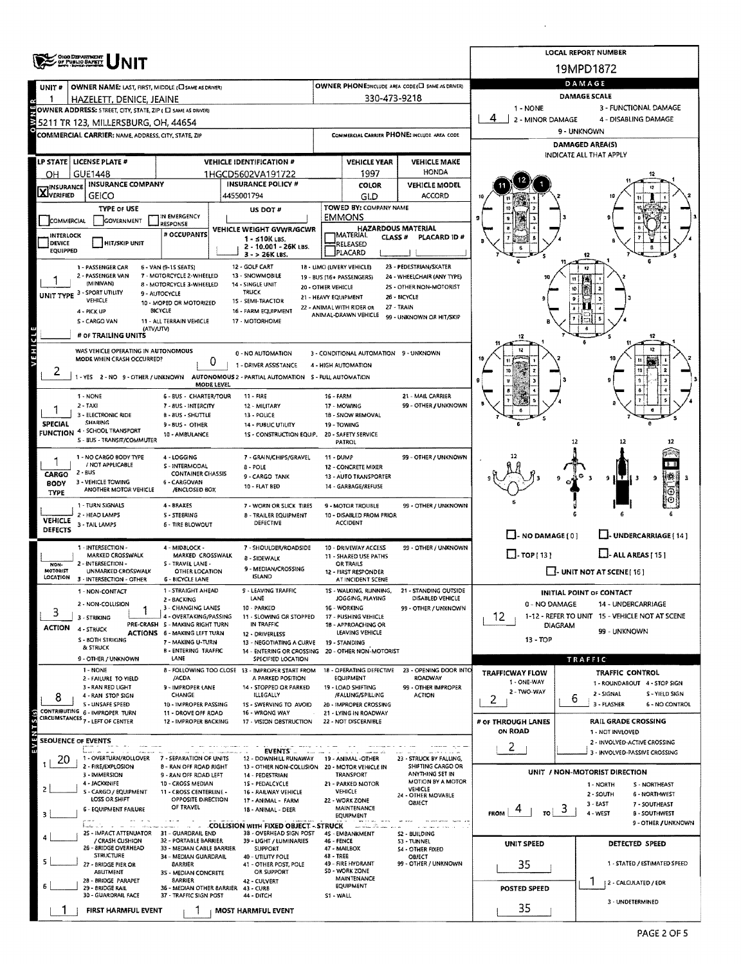|                                                               | OHIO DEPARTMENT                                                                             |                                                               | <b>LOCAL REPORT NUMBER</b>                         |                                                                        |                      |                                                             |                                                                  |                                                                         |    |                                                               |  |  |  |
|---------------------------------------------------------------|---------------------------------------------------------------------------------------------|---------------------------------------------------------------|----------------------------------------------------|------------------------------------------------------------------------|----------------------|-------------------------------------------------------------|------------------------------------------------------------------|-------------------------------------------------------------------------|----|---------------------------------------------------------------|--|--|--|
|                                                               |                                                                                             | 19MPD1872                                                     |                                                    |                                                                        |                      |                                                             |                                                                  |                                                                         |    |                                                               |  |  |  |
| UNIT #                                                        | OWNER NAME: LAST, FIRST, MIDDLE (C) SAME AS DRIVER)                                         |                                                               | OWNER PHONE; INCLUDE AREA CODE (E) SAME AS DRIVER) | DAMAGE                                                                 |                      |                                                             |                                                                  |                                                                         |    |                                                               |  |  |  |
|                                                               | HAZELETT, DENICE, JEAINE                                                                    |                                                               |                                                    |                                                                        | 330-473-9218         |                                                             |                                                                  | <b>DAMAGE SCALE</b><br>3 - FUNCTIONAL DAMAGE                            |    |                                                               |  |  |  |
|                                                               | OWNER ADDRESS: STREET, CITY, STATE, ZIP ( C) SAME AS DRIVER)                                |                                                               | 1 - NONE<br>4<br>2 - MINOR DAMAGE                  |                                                                        | 4 - DISABLING DAMAGE |                                                             |                                                                  |                                                                         |    |                                                               |  |  |  |
|                                                               | 15211 TR 123, MILLERSBURG, OH, 44654<br>COMMERCIAL CARRIER: NAME, ADDRESS, CITY, STATE, ZIP |                                                               |                                                    |                                                                        |                      |                                                             | COMMERCIAL CARRIER PHONE: INCLUDE AREA CODE                      |                                                                         |    | 9 - UNKNOWN                                                   |  |  |  |
|                                                               |                                                                                             |                                                               |                                                    |                                                                        |                      |                                                             |                                                                  |                                                                         |    | DAMAGED AREA(S)                                               |  |  |  |
| LP STATE   LICENSE PLATE #<br><b>VEHICLE IDENTIFICATION #</b> |                                                                                             |                                                               |                                                    |                                                                        |                      | <b>VEHICLE YEAR</b>                                         | <b>VEHICLE MAKE</b>                                              |                                                                         |    | INDICATE ALL THAT APPLY                                       |  |  |  |
| OH                                                            | <b>GUE1448</b>                                                                              |                                                               |                                                    | 1HGCD5602VA191722                                                      |                      | 1997                                                        | <b>HONDA</b>                                                     |                                                                         |    |                                                               |  |  |  |
| <b>X</b> INSURANCE                                            | <b>INSURANCE COMPANY</b><br><b>GEICO</b>                                                    |                                                               | 4455001794                                         | <b>INSURANCE POLICY #</b>                                              |                      | <b>COLOR</b>                                                | <b>VEHICLE MODEL</b><br><b>ACCORD</b>                            |                                                                         |    |                                                               |  |  |  |
|                                                               | <b>TYPE OF USE</b>                                                                          |                                                               |                                                    | US DOT #                                                               |                      | GLD<br>TOWED BY: COMPANY NAME                               |                                                                  |                                                                         |    |                                                               |  |  |  |
| <b>COMMERCIAL</b>                                             | GOVERNMENT                                                                                  | IN EMERGENCY<br>RESPONSE                                      |                                                    |                                                                        |                      | <b>EMMONS</b>                                               |                                                                  |                                                                         |    |                                                               |  |  |  |
| <b>INTERLOCK</b>                                              |                                                                                             | # OCCUPANTS                                                   |                                                    | VEHICLE WEIGHT GVWR/GCWR<br>1 - ≤10K LBS.                              |                      | <b>HAZARDOUS MATERIAL</b><br>MATERIAL<br>CLASS <sup>#</sup> | PLACARD ID#                                                      |                                                                         |    |                                                               |  |  |  |
| DEVICE<br>EQUIPPED                                            | <b>HIT/SKIP UNIT</b>                                                                        |                                                               |                                                    | 2 - 10.001 - 26K LBS.<br>$3 - 26K$ LBS.                                |                      | RELEASED<br><b>PLACARD</b>                                  |                                                                  |                                                                         |    |                                                               |  |  |  |
|                                                               | 1 - PASSENGER CAR                                                                           | 6 - VAN (9-15 SEATS)                                          |                                                    | 12 - GOLF CART                                                         |                      | 18 - LIMO (LIVERY VEHICLE)                                  | 23 - PEDESTRIAN/SKATER                                           |                                                                         |    |                                                               |  |  |  |
|                                                               | 2 - PASSENGER VAN<br>(MINIVAN)                                                              | 7 - MOTORCYCLE 2-WHEELED<br>8 - MOTORCYCLE 3-WHEELED          |                                                    | 13 - SNOWMOBILE<br>14 - SINGLE UNIT                                    | 20 - OTHER VEHICLE   | 19 - BUS (16+ PASSENGERS)                                   | 24 - WHEELCHAIR (ANY TYPE)<br>25 - OTHER NON-MOTORIST            |                                                                         |    |                                                               |  |  |  |
| UNIT TYPE 3 - SPORT UTILITY                                   |                                                                                             |                                                               |                                                    |                                                                        |                      |                                                             |                                                                  |                                                                         |    |                                                               |  |  |  |
|                                                               | VEHICLE<br>4 - PICK UP                                                                      | 10 - MOPED OR MOTORIZED<br>BICYCLE                            |                                                    | 15 - SEMI-TRACTOR<br>16 - FARM EQUIPMENT                               |                      | 22 - ANIMAL WITH RIDER OR<br>ANIMAL-DRAWN VEHICLE           | 27 - TRAIN                                                       |                                                                         |    |                                                               |  |  |  |
|                                                               | S - CARGO VAN<br>(ATV/UTV)                                                                  | 11 - ALL TERRAIN VEHICLE                                      | 17 - MOTORHOME                                     | 99 - UNKNOWN OR HIT/SKIP                                               |                      |                                                             |                                                                  |                                                                         |    |                                                               |  |  |  |
| ರ                                                             | # OF TRAILING UNITS                                                                         |                                                               |                                                    |                                                                        |                      |                                                             |                                                                  |                                                                         |    |                                                               |  |  |  |
| EHE <sub>3</sub>                                              | WAS VEHICLE OPERATING IN AUTONOMOUS<br>MODE WHEN CRASH OCCURRED?                            |                                                               |                                                    | 0 - NO AUTOMATION                                                      |                      | 3 - CONDITIONAL AUTOMATION 9 - UNKNOWN                      |                                                                  |                                                                         |    |                                                               |  |  |  |
|                                                               |                                                                                             | 0                                                             |                                                    | 1 - DRIVER ASSISTANCE                                                  |                      | 4 - HIGH AUTOMATION                                         |                                                                  |                                                                         |    |                                                               |  |  |  |
|                                                               | 1 - YES 2 - NO 9 - OTHER / UNKNOWN AUTONOMOUS 2 - PARTIAL AUTOMATION S - FULL AUTOMATION    | MODE LEVEL                                                    |                                                    |                                                                        |                      |                                                             |                                                                  |                                                                         |    |                                                               |  |  |  |
|                                                               | 1 - NONE                                                                                    | 6 - BUS - CHARTER/TOUR                                        |                                                    | 11 - FIRE                                                              | 16 - FARM            |                                                             | 21 - MAIL CARRIER                                                |                                                                         |    |                                                               |  |  |  |
|                                                               | 2 - TAXI<br>3 - ELECTRONIC RIDE                                                             | 7 - 8US - INTERCITY<br>B - 8US - SHUTTLE                      |                                                    | 12 - MILITARY<br>13 - POLICE                                           |                      | 17 - MOWING<br>18 - SNOW REMOVAL                            | 99 - OTHER / UNKNOWN                                             |                                                                         |    |                                                               |  |  |  |
| <b>SPECIAL</b>                                                | <b>SHARING</b><br><b>FUNCTION 4 - SCHOOL TRANSPORT</b>                                      | 9 - BUS - OTHER                                               |                                                    | 14 - PUBLIC UTILITY                                                    |                      | 19 - TOWING<br>20 - SAFETY SERVICE                          |                                                                  |                                                                         |    |                                                               |  |  |  |
|                                                               | 5 - BUS - TRANSIT/COMMUTER                                                                  | 10 - AMBULANCE                                                |                                                    | 1S - CONSTRUCTION EQUIP.                                               |                      | PATROL                                                      |                                                                  |                                                                         | 12 |                                                               |  |  |  |
|                                                               | 1 - NO CARGO BODY TYPE                                                                      | 4 - LOGGING                                                   |                                                    | 7 - GRAIN/CHIPS/GRAVEL                                                 | 11 - DUMP            |                                                             | 99 - OTHER / UNKNOWN                                             |                                                                         |    |                                                               |  |  |  |
| CARGO                                                         | / NOT APPLICABLE<br>2 - BUS                                                                 | S - INTERMODAL<br><b>CONTAINER CHASSIS</b>                    |                                                    | 8 - POLE<br>9 - CARGO TANK                                             |                      | 12 - CONCRETE MIXER<br>13 - AUTO TRANSPORTER                |                                                                  |                                                                         |    | ۰<br>- H T I                                                  |  |  |  |
| <b>BODY</b><br>TYPE                                           | 3 - VEHICLE TOWING<br>ANOTHER MOTOR VEHICLE                                                 | 6 - CARGOVAN<br>/ENCLOSED BOX                                 |                                                    | 10 - FLAT BED                                                          |                      | 14 - GARBAGE/REFUSE                                         |                                                                  |                                                                         |    |                                                               |  |  |  |
|                                                               | 1 - TURN SIGNALS                                                                            | 4 - BRAKES                                                    |                                                    | 7 - WORN OR SLICK TIRES                                                |                      | 9 MOTOR TROUBLE                                             | 99 - OTHER / UNKNOWN                                             |                                                                         |    |                                                               |  |  |  |
| <b>VEHICLE</b>                                                | 2 - HEAD LAMPS<br>3 - TAIL LAMPS                                                            | <b>S-STEERING</b><br><b>6 - TIRE BLOWOUT</b>                  |                                                    | <b>B - TRAILER EQUIPMENT</b><br>DEFECTIVE                              |                      | 10 - DISABLED FROM PRIOR<br><b>ACCIDENT</b>                 |                                                                  |                                                                         |    |                                                               |  |  |  |
| DEFECTS                                                       |                                                                                             |                                                               |                                                    |                                                                        |                      |                                                             |                                                                  | $\Box$ - NO DAMAGE [ 0 ]                                                |    | L- UNDERCARRIAGE [ 14 ]                                       |  |  |  |
|                                                               | 1 - INTERSECTION -<br>MARKED CROSSWALK                                                      | 4 - MIDBLOCK -                                                |                                                    | 7 - SHOULDER/ROADSIDE                                                  |                      | 10 - DRIVEWAY ACCESS                                        | 99 - OTHER / UNKNOWN                                             | $\Box$ -TOP[13]                                                         |    | $LJ$ - ALL AREAS [ 15 ]                                       |  |  |  |
| NON-                                                          | 2 - INTERSECTION -                                                                          | MARKED CROSSWALK<br>S - TRAVEL LANE -                         |                                                    | 8 - SIDEWALK<br>9 - MEDIAN/CROSSING                                    |                      | 11 - SHARED USE PATHS<br>OR TRAILS                          |                                                                  |                                                                         |    |                                                               |  |  |  |
| MOTORIST<br>LOCATION                                          | UNMARKED CROSSWALK<br>3 - INTERSECTION - OTHER                                              | <b>OTHER LOCATION</b><br><b>6 - BICYCLE LANE</b>              |                                                    | <b>ISLAND</b>                                                          |                      | 12 - FIRST RESPONDER<br>AT INCIDENT SCENE                   |                                                                  |                                                                         |    | $\Box$ - UNIT NOT AT SCENE [ 16 ]                             |  |  |  |
|                                                               | NON-CONTACT                                                                                 | 1 - STRAIGHT AHEAD<br>2 - BACKING                             |                                                    | 9 - LEAVING TRAFFIC<br>LANE                                            |                      | JOGGING, PLAYING                                            | 1S - WALKING, RUNNING. 21 - STANDING OUTSIDE<br>DISABLED VEHICLE |                                                                         |    | <b>INITIAL POINT OF CONTACT</b>                               |  |  |  |
| 3                                                             | 2 - NON-COLLISION                                                                           | 3 - CHANGING LANES                                            |                                                    | 10 - PARKED                                                            |                      | 16 - WORKING                                                | 99 - OTHER / UNKNOWN                                             | 0 - NO DAMAGE                                                           |    | 14 - UNDERCARRIAGE                                            |  |  |  |
| <b>ACTION</b>                                                 | 3 - STRIKING<br>4 - STRUCK                                                                  | 4 - OVERTAKING/PASSING<br>PRE-CRASH S - MAKING RIGHT TURN     |                                                    | 11 - SLOWING OR STOPPED<br>IN TRAFFIC                                  |                      | 17 - PUSHING VEHICLE<br>18 - APPROACHING OR                 |                                                                  | 1-12 - REFER TO UNIT 15 - VEHICLE NOT AT SCENE<br>12.<br><b>DIAGRAM</b> |    |                                                               |  |  |  |
|                                                               | S - BOTH STRIKING                                                                           | ACTIONS 6 - MAKING LEFT TURN<br>7 - MAKING U-TURN             |                                                    | 12 - DRIVERLESS<br>13 - NEGOTIATING A CURVE                            |                      | LEAVING VEHICLE<br>19 - STANDING                            |                                                                  | 13 - TOP                                                                |    | 99 - UNKNOWN                                                  |  |  |  |
|                                                               | & STRUCK<br>9 - OTHER / UNKNOWN                                                             | <b>B - ENTERING TRAFFIC</b><br>LANE                           |                                                    | 14 - ENTERING OR CROSSING<br>SPECIFIED LOCATION                        |                      | 20 - OTHER NON-MOTORIST                                     |                                                                  |                                                                         |    |                                                               |  |  |  |
|                                                               | 1 - NONE                                                                                    |                                                               |                                                    | 8 - FOLLOWING TOO CLOSE 13 - IMPROPER START FROM                       |                      | 18 - OPERATING DEFECTIVE                                    | 23 - OPENING DOOR INTO                                           | <b>TRAFFICWAY FLOW</b>                                                  |    | TRAFFIC<br>TRAFFIC CONTROL                                    |  |  |  |
|                                                               | 2 - FAILURE TO YIELD<br>3 - RAN RED LIGHT                                                   | /ACDA<br>9 - IMPROPER LANE                                    |                                                    | A PARKED POSITION<br>14 - STOPPED OR PARKED                            |                      | <b>EQUIPMENT</b><br>19 - LOAD SHIFTING                      | ROADWAY<br>99 - OTHER IMPROPER                                   | 1 - ONE-WAY                                                             |    | 1 - ROUNDABOUT 4 - STOP SIGN                                  |  |  |  |
|                                                               | 4 - RAN STOP SIGN<br><b>S - UNSAFE SPEED</b>                                                | CHANGE<br>10 - IMPROPER PASSING                               |                                                    | ILLEGALLY<br>15 - SWERVING TO AVOID                                    |                      | /FALLING/SPILLING<br>20 - IMPROPER CROSSING                 | <b>ACTION</b>                                                    | 2 - TWO-WAY<br>2                                                        | 6  | 2 - SIGNAL<br>S - YIELD SIGN<br>3 - FLASHER<br>6 - NO CONTROL |  |  |  |
|                                                               | CONTRIBUTING 6 - IMPROPER TURN<br>CIRCUMSTANCES <sub>7</sub> LEFT OF CENTER                 | 11 - DROVE OFF ROAD                                           |                                                    | 16 - WRONG WAY                                                         |                      | 21 - LYING IN ROADWAY                                       |                                                                  |                                                                         |    |                                                               |  |  |  |
|                                                               |                                                                                             | 12 - IMPROPER BACKING                                         |                                                    | 17 - VISION OBSTRUCTION                                                |                      | 22 - NOT DISCERNIBLE                                        |                                                                  | # OF THROUGH LANES<br>ON ROAD                                           |    | <b>RAIL GRADE CROSSING</b><br>1 - NOT INVLOVED                |  |  |  |
| SEOUENCE OF EVENTS                                            |                                                                                             |                                                               |                                                    |                                                                        |                      |                                                             |                                                                  | $\overline{2}$                                                          |    | 2 - INVOLVED-ACTIVE CROSSING                                  |  |  |  |
| 20                                                            | in en sk<br>1 - OVERTURN/ROLLOVER                                                           | 7 - SEPARATION OF UNITS                                       |                                                    | EVENTS<br>12 - DOWNHILL RUNAWAY                                        |                      | 19 - ANIMAL -OTHER                                          | 23 - STRUCK BY FALLING,                                          |                                                                         |    | 3 - INVOLVED-PASSIVE CROSSING                                 |  |  |  |
|                                                               | 2 - FIRE/EXPLOSION<br>3 - IMMERSION                                                         | 8 - RAN OFF ROAD RIGHT<br>9 - RAN OFF ROAD LEFT               |                                                    | 13 - OTHER NON-COLLISION<br>14 - PEDESTRIAN                            |                      | 20 - MOTOR VEHICLE IN<br><b>TRANSPORT</b>                   | SHIFTING CARGO OR<br>ANYTHING SET IN                             |                                                                         |    | UNIT / NON-MOTORIST DIRECTION                                 |  |  |  |
| z                                                             | 4 - JACKKNIFE<br>S - CARGO / EQUIPMENT                                                      | 10 - CROSS MEDIAN<br>11 - CROSS CENTERLINE -                  |                                                    | 1S - PEDALCYCLE<br>16 - RAILWAY VEHICLE                                |                      | 21 - PARKED MOTOR<br>VEHICLE                                | MOTION BY A MOTOR<br>VEHICLE                                     |                                                                         |    | 1 - NORTH<br>S - NORTHEAST                                    |  |  |  |
|                                                               | LOSS OR SHIFT                                                                               | OPPOSITE DIRECTION<br>OF TRAVEL                               |                                                    | 17 - ANIMAL - FARM                                                     |                      | 22 - WORK ZONE<br><b>MAINTENANCE</b>                        | 24 - OTHER MOVABLE<br>ОВЈЕСТ                                     |                                                                         |    | 2 - SOUTH<br>6 - NORTHWEST<br>3 - EAST<br>7 - SOUTHEAST       |  |  |  |
| 3                                                             | <b>6 - EQUIPMENT FAILURE</b>                                                                |                                                               |                                                    | 18 - ANIMAL - DEER                                                     |                      | EQUIPMENT                                                   |                                                                  | $\frac{1}{10}$ 3<br><b>FROM</b>                                         |    | 4 - WEST<br><b>B-SOUTHWEST</b>                                |  |  |  |
|                                                               | 25 - IMPACT ATTENUATOR 31 - GUARDRAIL END                                                   |                                                               |                                                    | <b>COLLISION WITH FIXED OBJECT - STRUCK</b><br>38 - OVERHEAD SIGN POST |                      | and these of the<br>4S - EMBANKMENT                         | S2 - BUILDING                                                    |                                                                         |    | 9 - OTHER / UNKNOWN                                           |  |  |  |
|                                                               | / CRASH CUSHION<br>26 - 8RIDGE OVERHEAD                                                     | 32 - PORTABLE BARRIER<br>33 - MEDIAN CABLE BARRIER            |                                                    | 39 - LIGHT / LUMINARIES<br><b>SUPPORT</b>                              | 46 - FENCE           | 47 - MAILBOX                                                | 53 - TUNNEL<br><b>54 - OTHER FIXED</b>                           | UNIT SPEED                                                              |    | DETECTED SPEED                                                |  |  |  |
|                                                               | <b>STRUCTURE</b><br>27 - BRIDGE PIER OR                                                     | 34 - MEDIAN GUARDRAIL<br><b>BARRIER</b>                       |                                                    | 40 - UTILITY POLE<br>41 - OTHER POST, POLE                             | 48 - TREE            | 49 - FIRE HYDRANT                                           | <b>OBJECT</b><br>99 - OTHER / UNKNOWN                            | 35                                                                      |    | 1 - STATED / ESTIMATED SPEED                                  |  |  |  |
|                                                               | ABUTMENT<br>28 - BRIDGE PARAPET                                                             | 35 - MEDIAN CONCRETE<br><b>SARRIER</b>                        |                                                    | OR SUPPORT                                                             |                      | SO - WORK ZONE<br><b>MAINTENANCE</b>                        |                                                                  |                                                                         |    |                                                               |  |  |  |
|                                                               | 29 - BRIDGE RAIL<br>30 - GUARDRAIL FACE                                                     | 36 - MEDIAN OTHER BARRIER 43 - CURB<br>37 - TRAFFIC SIGN POST |                                                    | 42 - CULVERT<br>44 - DITCH                                             | S1 - WALL            | EQUIPMENT                                                   |                                                                  | POSTED SPEED                                                            |    | 2 - CALCULATED / EDR                                          |  |  |  |
|                                                               |                                                                                             |                                                               |                                                    |                                                                        |                      |                                                             |                                                                  | 35                                                                      |    | 3 - UNDETERMINED                                              |  |  |  |
|                                                               | FIRST HARMFUL EVENT                                                                         |                                                               |                                                    | <b>MOST HARMFUL EVENT</b>                                              |                      |                                                             |                                                                  |                                                                         |    |                                                               |  |  |  |

 $\ddot{\phantom{a}}$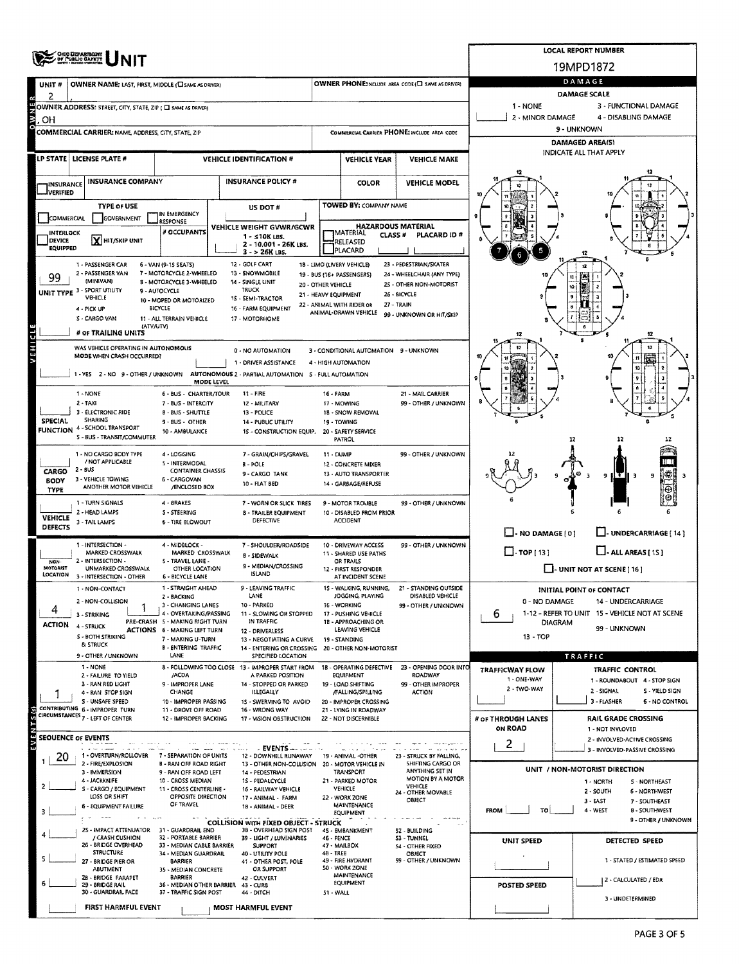